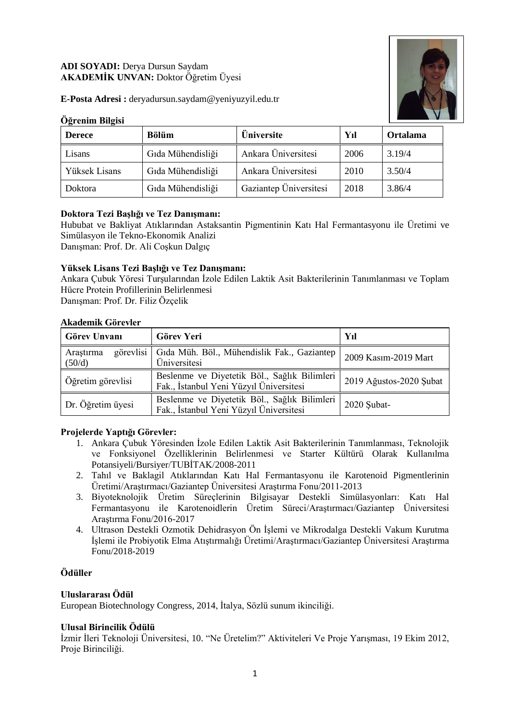# **ADI SOYADI:** Derya Dursun Saydam **AKADEMİK UNVAN:** Doktor Öğretim Üyesi



**E-Posta Adresi :** deryadursun.saydam@yeniyuzyil.edu.tr

### **Öğrenim Bilgisi**

| <b>Derece</b> | <b>Bölüm</b>      | Üniversite             | Yıl  | Ortalama |
|---------------|-------------------|------------------------|------|----------|
| Lisans        | Gıda Mühendisliği | Ankara Üniversitesi    | 2006 | 3.19/4   |
| Yüksek Lisans | Gıda Mühendisliği | Ankara Üniversitesi    | 2010 | 3.50/4   |
| Doktora       | Gıda Mühendisliği | Gaziantep Üniversitesi | 2018 | 3.86/4   |

# **Doktora Tezi Başlığı ve Tez Danışmanı:**

Hububat ve Bakliyat Atıklarından Astaksantin Pigmentinin Katı Hal Fermantasyonu ile Üretimi ve Simülasyon ile Tekno-Ekonomik Analizi

Danışman: Prof. Dr. Ali Coşkun Dalgıç

### **Yüksek Lisans Tezi Başlığı ve Tez Danışmanı:**

Ankara Çubuk Yöresi Turşularından İzole Edilen Laktik Asit Bakterilerinin Tanımlanması ve Toplam Hücre Protein Profillerinin Belirlenmesi Danışman: Prof. Dr. Filiz Özçelik

#### **Akademik Görevler**

| Görev Unvanı                     | <b>Görev Yeri</b>                                                                       | Yıl                     |  |
|----------------------------------|-----------------------------------------------------------------------------------------|-------------------------|--|
| görevlisi<br>Arastırma<br>(50/d) | Gida Müh. Böl., Mühendislik Fak., Gaziantep<br>Üniversitesi                             | 2009 Kasım-2019 Mart    |  |
| Öğretim görevlisi                | Beslenme ve Diyetetik Böl., Sağlık Bilimleri<br>Fak., İstanbul Yeni Yüzyıl Üniversitesi | 2019 Ağustos-2020 Şubat |  |
| Dr. Öğretim üyesi                | Beslenme ve Diyetetik Böl., Sağlık Bilimleri<br>Fak., İstanbul Yeni Yüzyıl Üniversitesi | 2020 Şubat-             |  |

#### **Projelerde Yaptığı Görevler:**

- 1. Ankara Çubuk Yöresinden İzole Edilen Laktik Asit Bakterilerinin Tanımlanması, Teknolojik ve Fonksiyonel Özelliklerinin Belirlenmesi ve Starter Kültürü Olarak Kullanılma Potansiyeli/Bursiyer/TUBİTAK/2008-2011
- 2. Tahıl ve Baklagil Atıklarından Katı Hal Fermantasyonu ile Karotenoid Pigmentlerinin Üretimi/Araştırmacı/Gaziantep Üniversitesi Araştırma Fonu/2011-2013
- 3. Biyoteknolojik Üretim Süreçlerinin Bilgisayar Destekli Simülasyonları: Katı Hal Fermantasyonu ile Karotenoidlerin Üretim Süreci/Araştırmacı/Gaziantep Üniversitesi Araştırma Fonu/2016-2017
- 4. Ultrason Destekli Ozmotik Dehidrasyon Ön İşlemi ve Mikrodalga Destekli Vakum Kurutma İşlemi ile Probiyotik Elma Atıştırmalığı Üretimi/Araştırmacı/Gaziantep Üniversitesi Araştırma Fonu/2018-2019

# **Ödüller**

# **Uluslararası Ödül**

European Biotechnology Congress, 2014, İtalya, Sözlü sunum ikinciliği.

# **Ulusal Birincilik Ödülü**

İzmir İleri Teknoloji Üniversitesi, 10. "Ne Üretelim?" Aktiviteleri Ve Proje Yarışması, 19 Ekim 2012, Proje Birinciliği.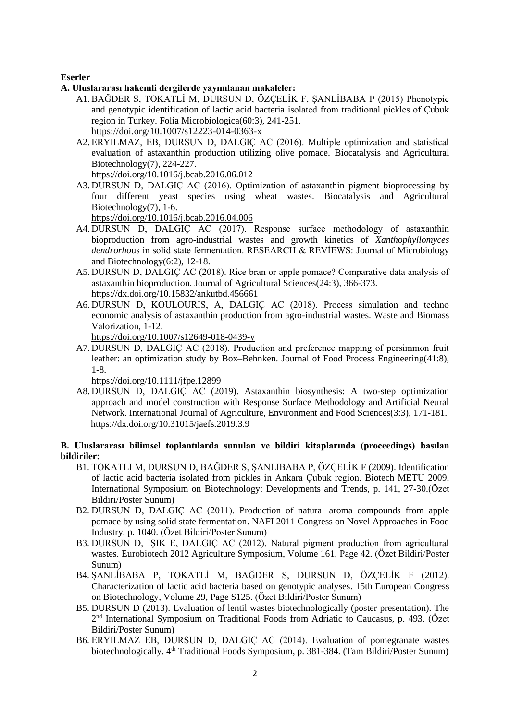### **Eserler**

- **A. Uluslararası hakemli dergilerde yayımlanan makaleler:**
	- A1.BAĞDER S, TOKATLİ M, DURSUN D, ÖZÇELİK F, ŞANLİBABA P (2015) Phenotypic and genotypic identification of lactic acid bacteria isolated from traditional pickles of Çubuk region in Turkey. Folia Microbiologica(60:3), 241-251. <https://doi.org/10.1007/s12223-014-0363-x>
	- A2. [ERYILMAZ,](https://www.researchgate.net/scientific-contributions/2111683044_Emine_Betuel_Eryilmaz) EB, DURSUN D, DALGIÇ AC (2016). Multiple optimization and statistical evaluation of astaxanthin production utilizing olive pomace. Biocatalysis and Agricultural Biotechnology(7), 224-227.

<https://doi.org/10.1016/j.bcab.2016.06.012>

A3. DURSUN D, DALGIÇ AC (2016). Optimization of astaxanthin pigment bioprocessing by four different yeast species using wheat wastes. Biocatalysis and Agricultural Biotechnology(7), 1-6.

<https://doi.org/10.1016/j.bcab.2016.04.006>

- A4. DURSUN D, DALGIÇ AC (2017). Response surface methodology of astaxanthin bioproduction from agro-industrial wastes and growth kinetics of *Xanthophyllomyces dendrorho*us in solid state fermentation. RESEARCH & REVİEWS: Journal of Microbiology and Biotechnology(6:2), 12-18.
- A5. DURSUN D, DALGIÇ AC (2018). Rice bran or apple pomace? Comparative data analysis of astaxanthin bioproduction. Journal of Agricultural Sciences(24:3), 366-373. <https://dx.doi.org/10.15832/ankutbd.456661>
- A6. DURSUN D, KOULOURİS, A, DALGIÇ AC (2018). Process simulation and techno economic analysis of astaxanthin production from agro-industrial wastes. Waste and Biomass Valorization, 1-12.
	- <https://doi.org/10.1007/s12649-018-0439-y>
- A7. DURSUN D, DALGIÇ AC (2018). Production and preference mapping of persimmon fruit leather: an optimization study by Box–Behnken. Journal of Food Process Engineering(41:8), 1-8.

<https://doi.org/10.1111/jfpe.12899>

A8. DURSUN D, DALGIÇ AC (2019). Astaxanthin biosynthesis: A two-step optimization approach and model construction with Response Surface Methodology and Artificial Neural Network. International Journal of Agriculture, Environment and Food Sciences(3:3), 171-181. <https://dx.doi.org/10.31015/jaefs.2019.3.9>

#### **B. Uluslararası bilimsel toplantılarda sunulan ve bildiri kitaplarında (proceedings) basılan bildiriler:**

- B1. TOKATLI M, DURSUN D, BAĞDER S, ŞANLIBABA P, ÖZÇELİK F (2009). Identification of lactic acid bacteria isolated from pickles in Ankara Çubuk region. Biotech METU 2009, International Symposium on Biotechnology: Developments and Trends, p. 141, 27-30.(Özet Bildiri/Poster Sunum)
- B2. DURSUN D, DALGIÇ AC (2011). Production of natural aroma compounds from apple pomace by using solid state fermentation. NAFI 2011 Congress on Novel Approaches in Food Industry, p. 1040. (Özet Bildiri/Poster Sunum)
- B3. DURSUN D, IŞIK E, DALGIÇ AC (2012). Natural pigment production from agricultural wastes. Eurobiotech 2012 Agriculture Symposium, Volume 161, Page 42. (Özet Bildiri/Poster Sunum)
- B4. ŞANLİBABA P, TOKATLİ M, BAĞDER S, DURSUN D, ÖZÇELİK F (2012). [Characterization of lactic acid bacteria based on genotypic analyses.](http://www.sciencedirect.com/science/article/pii/S1871678412005006) 15th European Congress on Biotechnology, Volume 29, Page S125. (Özet Bildiri/Poster Sunum)
- B5. DURSUN D (2013). Evaluation of lentil wastes biotechnologically (poster presentation). The 2 nd International Symposium on Traditional Foods from Adriatic to Caucasus, p. 493. (Özet Bildiri/Poster Sunum)
- B6. ERYILMAZ EB, DURSUN D, DALGIÇ AC (2014). Evaluation of pomegranate wastes biotechnologically. 4<sup>th</sup> Traditional Foods Symposium, p. 381-384. (Tam Bildiri/Poster Sunum)